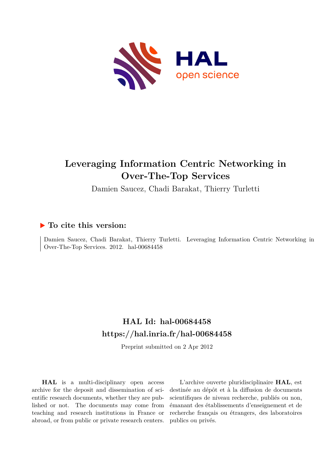

# **Leveraging Information Centric Networking in Over-The-Top Services**

Damien Saucez, Chadi Barakat, Thierry Turletti

### **To cite this version:**

Damien Saucez, Chadi Barakat, Thierry Turletti. Leveraging Information Centric Networking in Over-The-Top Services. 2012. hal-00684458

## **HAL Id: hal-00684458 <https://hal.inria.fr/hal-00684458>**

Preprint submitted on 2 Apr 2012

**HAL** is a multi-disciplinary open access archive for the deposit and dissemination of scientific research documents, whether they are published or not. The documents may come from teaching and research institutions in France or abroad, or from public or private research centers.

L'archive ouverte pluridisciplinaire **HAL**, est destinée au dépôt et à la diffusion de documents scientifiques de niveau recherche, publiés ou non, émanant des établissements d'enseignement et de recherche français ou étrangers, des laboratoires publics ou privés.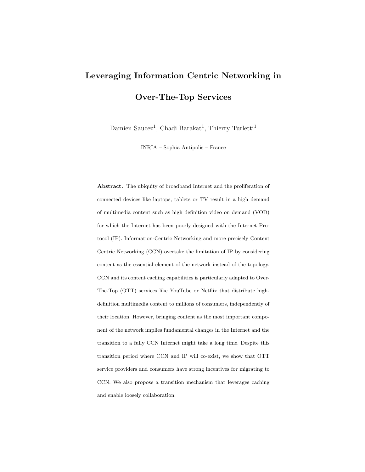# Leveraging Information Centric Networking in

### Over-The-Top Services

Damien Saucez<sup>1</sup>, Chadi Barakat<sup>1</sup>, Thierry Turletti<sup>1</sup>

INRIA – Sophia Antipolis – France

Abstract. The ubiquity of broadband Internet and the proliferation of connected devices like laptops, tablets or TV result in a high demand of multimedia content such as high definition video on demand (VOD) for which the Internet has been poorly designed with the Internet Protocol (IP). Information-Centric Networking and more precisely Content Centric Networking (CCN) overtake the limitation of IP by considering content as the essential element of the network instead of the topology. CCN and its content caching capabilities is particularly adapted to Over-The-Top (OTT) services like YouTube or Netflix that distribute highdefinition multimedia content to millions of consumers, independently of their location. However, bringing content as the most important component of the network implies fundamental changes in the Internet and the transition to a fully CCN Internet might take a long time. Despite this transition period where CCN and IP will co-exist, we show that OTT service providers and consumers have strong incentives for migrating to CCN. We also propose a transition mechanism that leverages caching and enable loosely collaboration.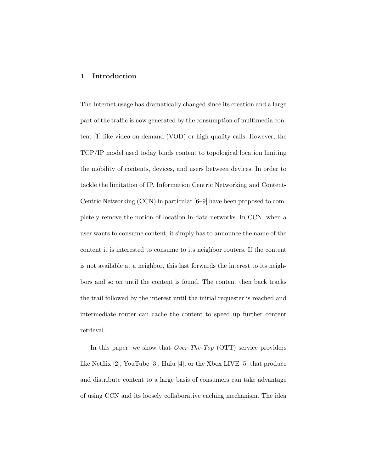#### 1 Introduction

The Internet usage has dramatically changed since its creation and a large part of the traffic is now generated by the consumption of multimedia content [1] like video on demand (VOD) or high quality calls. However, the TCP/IP model used today binds content to topological location limiting the mobility of contents, devices, and users between devices. In order to tackle the limitation of IP, Information Centric Networking and Content-Centric Networking (CCN) in particular [6–9] have been proposed to completely remove the notion of location in data networks. In CCN, when a user wants to consume content, it simply has to announce the name of the content it is interested to consume to its neighbor routers. If the content is not available at a neighbor, this last forwards the interest to its neighbors and so on until the content is found. The content then back tracks the trail followed by the interest until the initial requester is reached and intermediate router can cache the content to speed up further content retrieval.

In this paper, we show that *Over-The-Top* (OTT) service providers like Netflix [2], YouTube [3], Hulu [4], or the Xbox LIVE [5] that produce and distribute content to a large basis of consumers can take advantage of using CCN and its loosely collaborative caching mechanism. The idea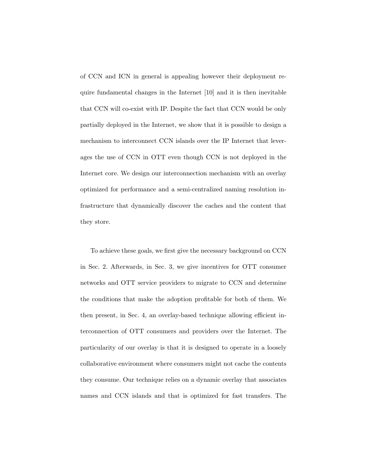of CCN and ICN in general is appealing however their deployment require fundamental changes in the Internet [10] and it is then inevitable that CCN will co-exist with IP. Despite the fact that CCN would be only partially deployed in the Internet, we show that it is possible to design a mechanism to interconnect CCN islands over the IP Internet that leverages the use of CCN in OTT even though CCN is not deployed in the Internet core. We design our interconnection mechanism with an overlay optimized for performance and a semi-centralized naming resolution infrastructure that dynamically discover the caches and the content that they store.

To achieve these goals, we first give the necessary background on CCN in Sec. 2. Afterwards, in Sec. 3, we give incentives for OTT consumer networks and OTT service providers to migrate to CCN and determine the conditions that make the adoption profitable for both of them. We then present, in Sec. 4, an overlay-based technique allowing efficient interconnection of OTT consumers and providers over the Internet. The particularity of our overlay is that it is designed to operate in a loosely collaborative environment where consumers might not cache the contents they consume. Our technique relies on a dynamic overlay that associates names and CCN islands and that is optimized for fast transfers. The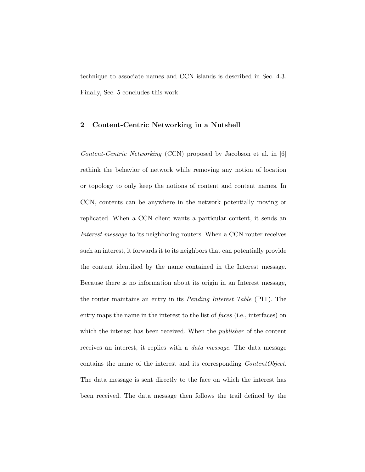technique to associate names and CCN islands is described in Sec. 4.3. Finally, Sec. 5 concludes this work.

#### 2 Content-Centric Networking in a Nutshell

Content-Centric Networking (CCN) proposed by Jacobson et al. in [6] rethink the behavior of network while removing any notion of location or topology to only keep the notions of content and content names. In CCN, contents can be anywhere in the network potentially moving or replicated. When a CCN client wants a particular content, it sends an Interest message to its neighboring routers. When a CCN router receives such an interest, it forwards it to its neighbors that can potentially provide the content identified by the name contained in the Interest message. Because there is no information about its origin in an Interest message, the router maintains an entry in its Pending Interest Table (PIT). The entry maps the name in the interest to the list of faces (i.e., interfaces) on which the interest has been received. When the *publisher* of the content receives an interest, it replies with a data message. The data message contains the name of the interest and its corresponding ContentObject. The data message is sent directly to the face on which the interest has been received. The data message then follows the trail defined by the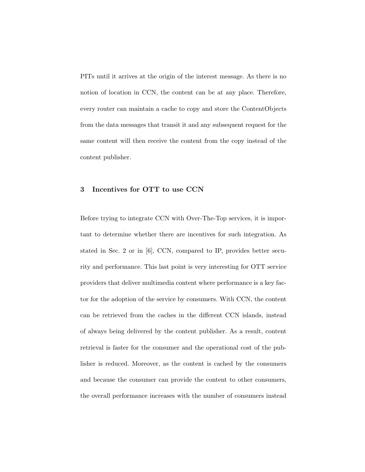PITs until it arrives at the origin of the interest message. As there is no notion of location in CCN, the content can be at any place. Therefore, every router can maintain a cache to copy and store the ContentObjects from the data messages that transit it and any subsequent request for the same content will then receive the content from the copy instead of the content publisher.

#### 3 Incentives for OTT to use CCN

Before trying to integrate CCN with Over-The-Top services, it is important to determine whether there are incentives for such integration. As stated in Sec. 2 or in [6], CCN, compared to IP, provides better security and performance. This last point is very interesting for OTT service providers that deliver multimedia content where performance is a key factor for the adoption of the service by consumers. With CCN, the content can be retrieved from the caches in the different CCN islands, instead of always being delivered by the content publisher. As a result, content retrieval is faster for the consumer and the operational cost of the publisher is reduced. Moreover, as the content is cached by the consumers and because the consumer can provide the content to other consumers, the overall performance increases with the number of consumers instead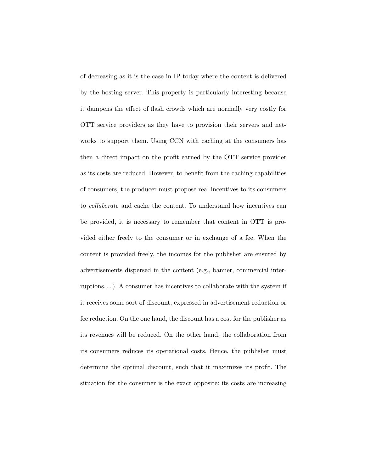of decreasing as it is the case in IP today where the content is delivered by the hosting server. This property is particularly interesting because it dampens the effect of flash crowds which are normally very costly for OTT service providers as they have to provision their servers and networks to support them. Using CCN with caching at the consumers has then a direct impact on the profit earned by the OTT service provider as its costs are reduced. However, to benefit from the caching capabilities of consumers, the producer must propose real incentives to its consumers to collaborate and cache the content. To understand how incentives can be provided, it is necessary to remember that content in OTT is provided either freely to the consumer or in exchange of a fee. When the content is provided freely, the incomes for the publisher are ensured by advertisements dispersed in the content (e.g., banner, commercial interruptions. . . ). A consumer has incentives to collaborate with the system if it receives some sort of discount, expressed in advertisement reduction or fee reduction. On the one hand, the discount has a cost for the publisher as its revenues will be reduced. On the other hand, the collaboration from its consumers reduces its operational costs. Hence, the publisher must determine the optimal discount, such that it maximizes its profit. The situation for the consumer is the exact opposite: its costs are increasing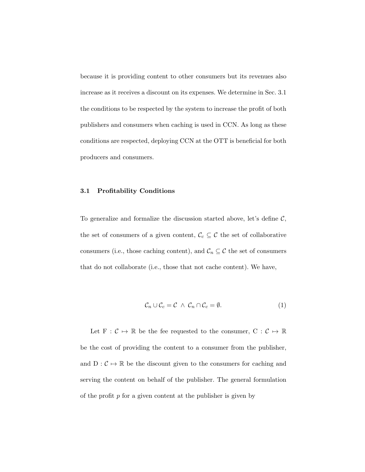because it is providing content to other consumers but its revenues also increase as it receives a discount on its expenses. We determine in Sec. 3.1 the conditions to be respected by the system to increase the profit of both publishers and consumers when caching is used in CCN. As long as these conditions are respected, deploying CCN at the OTT is beneficial for both producers and consumers.

#### 3.1 Profitability Conditions

To generalize and formalize the discussion started above, let's define  $C$ , the set of consumers of a given content,  $\mathcal{C}_c \subseteq \mathcal{C}$  the set of collaborative consumers (i.e., those caching content), and  $\mathcal{C}_n \subseteq \mathcal{C}$  the set of consumers that do not collaborate (i.e., those that not cache content). We have,

$$
\mathcal{C}_n \cup \mathcal{C}_c = \mathcal{C} \ \wedge \ \mathcal{C}_n \cap \mathcal{C}_c = \emptyset. \tag{1}
$$

Let F :  $C \rightarrow \mathbb{R}$  be the fee requested to the consumer, C :  $C \rightarrow \mathbb{R}$ be the cost of providing the content to a consumer from the publisher, and  $D: \mathcal{C} \mapsto \mathbb{R}$  be the discount given to the consumers for caching and serving the content on behalf of the publisher. The general formulation of the profit  $p$  for a given content at the publisher is given by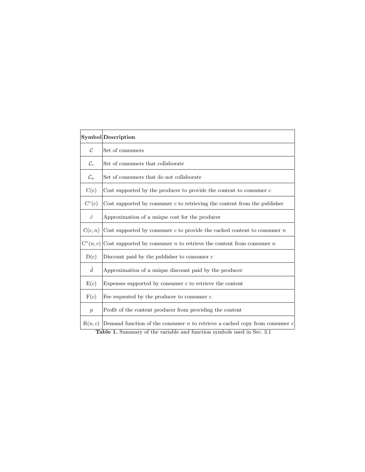|                  | Symbol Description                                                              |
|------------------|---------------------------------------------------------------------------------|
| $\mathcal{C}$    | Set of consumers                                                                |
| $\mathcal{C}_c$  | Set of consumers that collaborate                                               |
| $\mathcal{C}_n$  | Set of consumers that do not collaborate                                        |
| C(c)             | Cost supported by the producer to provide the content to consumer $c$           |
| $C^*(c)$         | Cost supported by consumer $c$ to retrieving the content from the publisher     |
| $\hat{c}$        | Approximation of a unique cost for the producer                                 |
| C(c, n)          | Cost supported by consumer $c$ to provide the cached content to consumer $n$    |
| $C^*(n,c)$       | Cost supported by consumer $n$ to retrieve the content from consumer $n$        |
| D(c)             | Discount paid by the publisher to consumer $c$                                  |
| $\hat{d}$        | Approximation of a unique discount paid by the producer                         |
| E(c)             | Expenses supported by consumer $c$ to retrieve the content                      |
| F(c)             | Fee requested by the producer to consumer $c$                                   |
| $\boldsymbol{p}$ | Profit of the content producer from providing the content                       |
| R(n, c)          | Demand function of the consumer $n$ to retrieve a cached copy from consumer $c$ |

Table 1. Summary of the variable and function symbols used in Sec. 3.1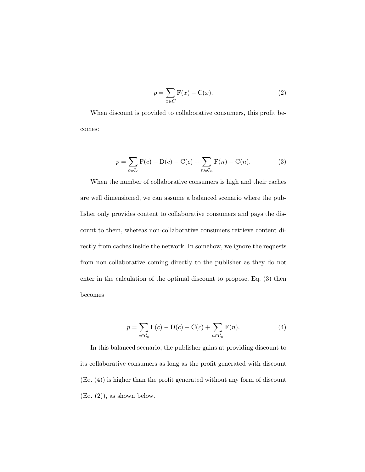$$
p = \sum_{x \in C} \mathbf{F}(x) - \mathbf{C}(x). \tag{2}
$$

When discount is provided to collaborative consumers, this profit becomes:

$$
p = \sum_{c \in \mathcal{C}_c} \mathbf{F}(c) - \mathbf{D}(c) - \mathbf{C}(c) + \sum_{n \in \mathcal{C}_n} \mathbf{F}(n) - \mathbf{C}(n).
$$
 (3)

When the number of collaborative consumers is high and their caches are well dimensioned, we can assume a balanced scenario where the publisher only provides content to collaborative consumers and pays the discount to them, whereas non-collaborative consumers retrieve content directly from caches inside the network. In somehow, we ignore the requests from non-collaborative coming directly to the publisher as they do not enter in the calculation of the optimal discount to propose. Eq. (3) then becomes

$$
p = \sum_{c \in \mathcal{C}_c} \mathbf{F}(c) - \mathbf{D}(c) - \mathbf{C}(c) + \sum_{n \in \mathcal{C}_n} \mathbf{F}(n).
$$
 (4)

In this balanced scenario, the publisher gains at providing discount to its collaborative consumers as long as the profit generated with discount (Eq. (4)) is higher than the profit generated without any form of discount  $(Eq. (2))$ , as shown below.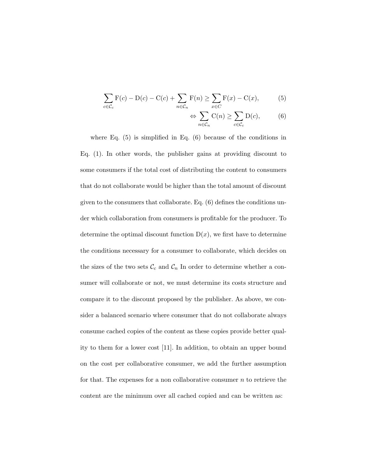$$
\sum_{c \in \mathcal{C}_c} \mathbf{F}(c) - \mathbf{D}(c) - \mathbf{C}(c) + \sum_{n \in \mathcal{C}_n} \mathbf{F}(n) \ge \sum_{x \in C} \mathbf{F}(x) - \mathbf{C}(x),\tag{5}
$$

$$
\Leftrightarrow \sum_{n \in \mathcal{C}_n} \mathcal{C}(n) \ge \sum_{c \in \mathcal{C}_c} \mathcal{D}(c),\tag{6}
$$

where Eq. (5) is simplified in Eq. (6) because of the conditions in Eq. (1). In other words, the publisher gains at providing discount to some consumers if the total cost of distributing the content to consumers that do not collaborate would be higher than the total amount of discount given to the consumers that collaborate. Eq. (6) defines the conditions under which collaboration from consumers is profitable for the producer. To determine the optimal discount function  $D(x)$ , we first have to determine the conditions necessary for a consumer to collaborate, which decides on the sizes of the two sets  $\mathcal{C}_c$  and  $\mathcal{C}_n$  In order to determine whether a consumer will collaborate or not, we must determine its costs structure and compare it to the discount proposed by the publisher. As above, we consider a balanced scenario where consumer that do not collaborate always consume cached copies of the content as these copies provide better quality to them for a lower cost [11]. In addition, to obtain an upper bound on the cost per collaborative consumer, we add the further assumption for that. The expenses for a non collaborative consumer  $n$  to retrieve the content are the minimum over all cached copied and can be written as: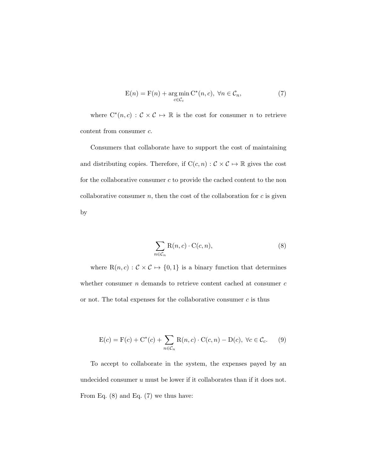$$
E(n) = F(n) + \underset{c \in \mathcal{C}_c}{\arg \min} C^*(n, c), \ \forall n \in \mathcal{C}_n,
$$
\n<sup>(7)</sup>

where  $C^*(n, c) : C \times C \rightarrow \mathbb{R}$  is the cost for consumer n to retrieve content from consumer c.

Consumers that collaborate have to support the cost of maintaining and distributing copies. Therefore, if  $C(c, n) : C \times C \rightarrow \mathbb{R}$  gives the cost for the collaborative consumer  $c$  to provide the cached content to the non collaborative consumer  $n$ , then the cost of the collaboration for  $c$  is given by

$$
\sum_{n \in \mathcal{C}_n} \mathcal{R}(n, c) \cdot \mathcal{C}(c, n),\tag{8}
$$

where  $R(n, c) : C \times C \rightarrow \{0, 1\}$  is a binary function that determines whether consumer  $n$  demands to retrieve content cached at consumer  $c$ or not. The total expenses for the collaborative consumer  $c$  is thus

$$
E(c) = F(c) + C^*(c) + \sum_{n \in C_n} R(n, c) \cdot C(c, n) - D(c), \ \forall c \in C_c.
$$
 (9)

To accept to collaborate in the system, the expenses payed by an undecided consumer  $u$  must be lower if it collaborates than if it does not. From Eq.  $(8)$  and Eq.  $(7)$  we thus have: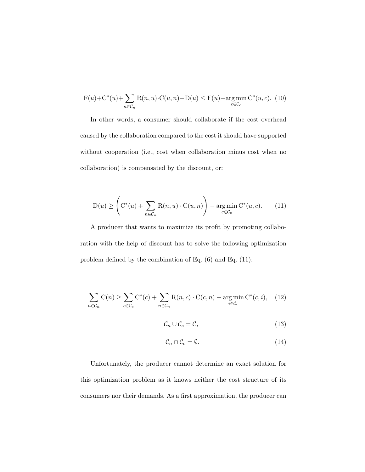$$
F(u) + C^*(u) + \sum_{n \in C_n} R(n, u) \cdot C(u, n) - D(u) \le F(u) + \underset{c \in C_c}{\text{arg min }} C^*(u, c). \tag{10}
$$

In other words, a consumer should collaborate if the cost overhead caused by the collaboration compared to the cost it should have supported without cooperation (i.e., cost when collaboration minus cost when no collaboration) is compensated by the discount, or:

$$
D(u) \geq \left( C^*(u) + \sum_{n \in C_n} R(n, u) \cdot C(u, n) \right) - \underset{c \in C_c}{\text{arg min}} C^*(u, c). \tag{11}
$$

A producer that wants to maximize its profit by promoting collaboration with the help of discount has to solve the following optimization problem defined by the combination of Eq. (6) and Eq. (11):

$$
\sum_{n \in \mathcal{C}_n} \mathcal{C}(n) \ge \sum_{c \in \mathcal{C}_c} \mathcal{C}^*(c) + \sum_{n \in \mathcal{C}_n} \mathcal{R}(n, c) \cdot \mathcal{C}(c, n) - \underset{i \in \mathcal{C}_c}{\text{arg min}} \mathcal{C}^*(c, i), \quad (12)
$$

$$
\mathcal{C}_n \cup \mathcal{C}_c = \mathcal{C},\tag{13}
$$

$$
\mathcal{C}_n \cap \mathcal{C}_c = \emptyset. \tag{14}
$$

Unfortunately, the producer cannot determine an exact solution for this optimization problem as it knows neither the cost structure of its consumers nor their demands. As a first approximation, the producer can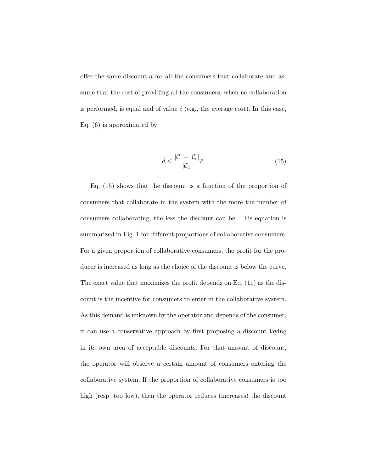offer the same discount  $\hat{d}$  for all the consumers that collaborate and assume that the cost of providing all the consumers, when no collaboration is performed, is equal and of value  $\hat{c}$  (e.g., the average cost). In this case, Eq. (6) is approximated by

$$
\hat{d} \le \frac{|\mathcal{C}| - |\mathcal{C}_c|}{|\mathcal{C}_c|} \hat{c}.\tag{15}
$$

Eq. (15) shows that the discount is a function of the proportion of consumers that collaborate in the system with the more the number of consumers collaborating, the less the discount can be. This equation is summarized in Fig. 1 for different proportions of collaborative consumers. For a given proportion of collaborative consumers, the profit for the producer is increased as long as the choice of the discount is below the curve. The exact value that maximizes the profit depends on Eq. (11) as the discount is the incentive for consumers to enter in the collaborative system. As this demand is unknown by the operator and depends of the consumer, it can use a conservative approach by first proposing a discount laying in its own area of acceptable discounts. For that amount of discount, the operator will observe a certain amount of consumers entering the collaborative system. If the proportion of collaborative consumers is too high (resp. too low), then the operator reduces (increases) the discount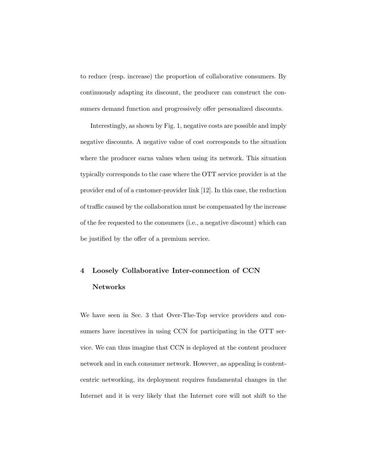to reduce (resp. increase) the proportion of collaborative consumers. By continuously adapting its discount, the producer can construct the consumers demand function and progressively offer personalized discounts.

Interestingly, as shown by Fig. 1, negative costs are possible and imply negative discounts. A negative value of cost corresponds to the situation where the producer earns values when using its network. This situation typically corresponds to the case where the OTT service provider is at the provider end of of a customer-provider link [12]. In this case, the reduction of traffic caused by the collaboration must be compensated by the increase of the fee requested to the consumers (i.e., a negative discount) which can be justified by the offer of a premium service.

## 4 Loosely Collaborative Inter-connection of CCN Networks

We have seen in Sec. 3 that Over-The-Top service providers and consumers have incentives in using CCN for participating in the OTT service. We can thus imagine that CCN is deployed at the content producer network and in each consumer network. However, as appealing is contentcentric networking, its deployment requires fundamental changes in the Internet and it is very likely that the Internet core will not shift to the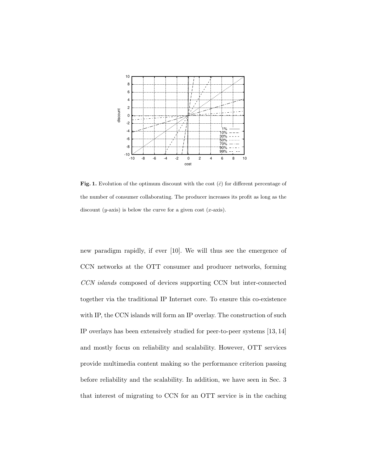

Fig. 1. Evolution of the optimum discount with the cost  $(\hat{c})$  for different percentage of the number of consumer collaborating. The producer increases its profit as long as the discount  $(y\text{-axis})$  is below the curve for a given cost  $(x\text{-axis})$ .

new paradigm rapidly, if ever [10]. We will thus see the emergence of CCN networks at the OTT consumer and producer networks, forming CCN islands composed of devices supporting CCN but inter-connected together via the traditional IP Internet core. To ensure this co-existence with IP, the CCN islands will form an IP overlay. The construction of such IP overlays has been extensively studied for peer-to-peer systems [13, 14] and mostly focus on reliability and scalability. However, OTT services provide multimedia content making so the performance criterion passing before reliability and the scalability. In addition, we have seen in Sec. 3 that interest of migrating to CCN for an OTT service is in the caching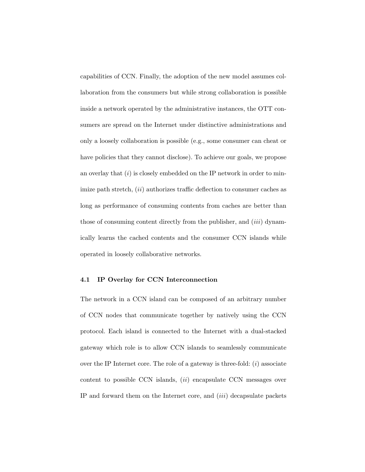capabilities of CCN. Finally, the adoption of the new model assumes collaboration from the consumers but while strong collaboration is possible inside a network operated by the administrative instances, the OTT consumers are spread on the Internet under distinctive administrations and only a loosely collaboration is possible (e.g., some consumer can cheat or have policies that they cannot disclose). To achieve our goals, we propose an overlay that  $(i)$  is closely embedded on the IP network in order to minimize path stretch,  $(ii)$  authorizes traffic deflection to consumer caches as long as performance of consuming contents from caches are better than those of consuming content directly from the publisher, and  $(iii)$  dynamically learns the cached contents and the consumer CCN islands while operated in loosely collaborative networks.

#### 4.1 IP Overlay for CCN Interconnection

The network in a CCN island can be composed of an arbitrary number of CCN nodes that communicate together by natively using the CCN protocol. Each island is connected to the Internet with a dual-stacked gateway which role is to allow CCN islands to seamlessly communicate over the IP Internet core. The role of a gateway is three-fold:  $(i)$  associate content to possible CCN islands,  $(ii)$  encapsulate CCN messages over IP and forward them on the Internet core, and (iii) decapsulate packets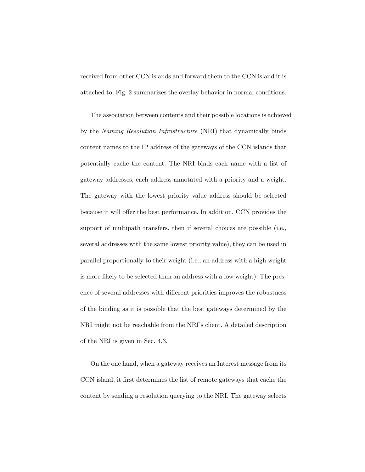received from other CCN islands and forward them to the CCN island it is attached to. Fig. 2 summarizes the overlay behavior in normal conditions.

The association between contents and their possible locations is achieved by the Naming Resolution Infrastructure (NRI) that dynamically binds content names to the IP address of the gateways of the CCN islands that potentially cache the content. The NRI binds each name with a list of gateway addresses, each address annotated with a priority and a weight. The gateway with the lowest priority value address should be selected because it will offer the best performance. In addition, CCN provides the support of multipath transfers, then if several choices are possible (i.e., several addresses with the same lowest priority value), they can be used in parallel proportionally to their weight (i.e., an address with a high weight is more likely to be selected than an address with a low weight). The presence of several addresses with different priorities improves the robustness of the binding as it is possible that the best gateways determined by the NRI might not be reachable from the NRI's client. A detailed description of the NRI is given in Sec. 4.3.

On the one hand, when a gateway receives an Interest message from its CCN island, it first determines the list of remote gateways that cache the content by sending a resolution querying to the NRI. The gateway selects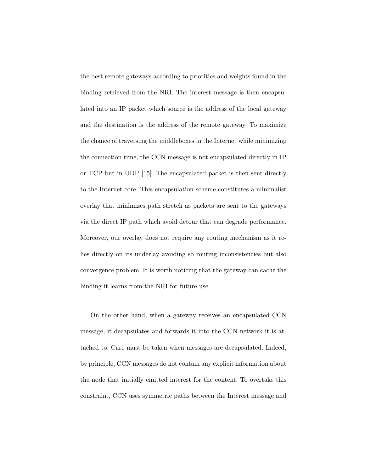the best remote gateways according to priorities and weights found in the binding retrieved from the NRI. The interest message is then encapsulated into an IP packet which source is the address of the local gateway and the destination is the address of the remote gateway. To maximize the chance of traversing the middleboxes in the Internet while minimizing the connection time, the CCN message is not encapsulated directly in IP or TCP but in UDP [15]. The encapsulated packet is then sent directly to the Internet core. This encapsulation scheme constitutes a minimalist overlay that minimizes path stretch as packets are sent to the gateways via the direct IP path which avoid detour that can degrade performance. Moreover, our overlay does not require any routing mechanism as it relies directly on its underlay avoiding so routing inconsistencies but also convergence problem. It is worth noticing that the gateway can cache the binding it learns from the NRI for future use.

On the other hand, when a gateway receives an encapsulated CCN message, it decapsulates and forwards it into the CCN network it is attached to. Care must be taken when messages are decapsulated. Indeed, by principle, CCN messages do not contain any explicit information about the node that initially emitted interest for the content. To overtake this constraint, CCN uses symmetric paths between the Interest message and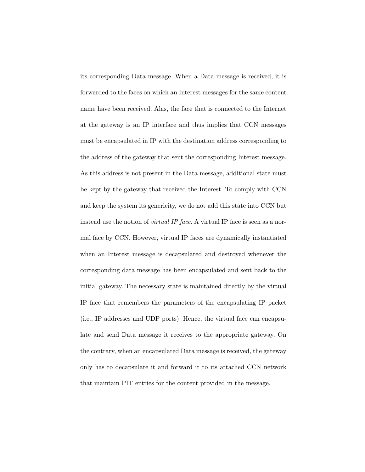its corresponding Data message. When a Data message is received, it is forwarded to the faces on which an Interest messages for the same content name have been received. Alas, the face that is connected to the Internet at the gateway is an IP interface and thus implies that CCN messages must be encapsulated in IP with the destination address corresponding to the address of the gateway that sent the corresponding Interest message. As this address is not present in the Data message, additional state must be kept by the gateway that received the Interest. To comply with CCN and keep the system its genericity, we do not add this state into CCN but instead use the notion of virtual IP face. A virtual IP face is seen as a normal face by CCN. However, virtual IP faces are dynamically instantiated when an Interest message is decapsulated and destroyed whenever the corresponding data message has been encapsulated and sent back to the initial gateway. The necessary state is maintained directly by the virtual IP face that remembers the parameters of the encapsulating IP packet (i.e., IP addresses and UDP ports). Hence, the virtual face can encapsulate and send Data message it receives to the appropriate gateway. On the contrary, when an encapsulated Data message is received, the gateway only has to decapsulate it and forward it to its attached CCN network that maintain PIT entries for the content provided in the message.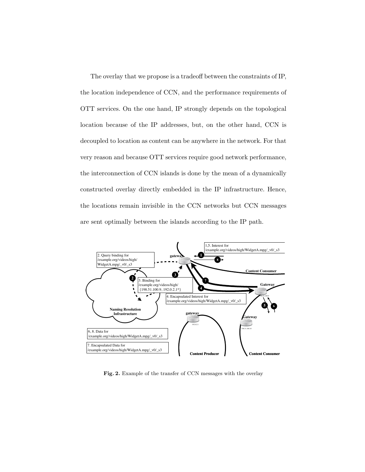The overlay that we propose is a tradeoff between the constraints of IP, the location independence of CCN, and the performance requirements of OTT services. On the one hand, IP strongly depends on the topological location because of the IP addresses, but, on the other hand, CCN is decoupled to location as content can be anywhere in the network. For that very reason and because OTT services require good network performance, the interconnection of CCN islands is done by the mean of a dynamically constructed overlay directly embedded in the IP infrastructure. Hence, the locations remain invisible in the CCN networks but CCN messages are sent optimally between the islands according to the IP path.



Fig. 2. Example of the transfer of CCN messages with the overlay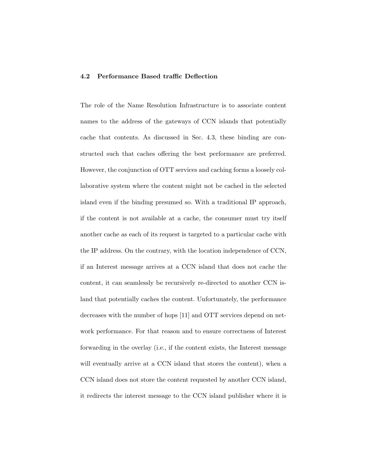#### 4.2 Performance Based traffic Deflection

The role of the Name Resolution Infrastructure is to associate content names to the address of the gateways of CCN islands that potentially cache that contents. As discussed in Sec. 4.3, these binding are constructed such that caches offering the best performance are preferred. However, the conjunction of OTT services and caching forms a loosely collaborative system where the content might not be cached in the selected island even if the binding presumed so. With a traditional IP approach, if the content is not available at a cache, the consumer must try itself another cache as each of its request is targeted to a particular cache with the IP address. On the contrary, with the location independence of CCN, if an Interest message arrives at a CCN island that does not cache the content, it can seamlessly be recursively re-directed to another CCN island that potentially caches the content. Unfortunately, the performance decreases with the number of hops [11] and OTT services depend on network performance. For that reason and to ensure correctness of Interest forwarding in the overlay (i.e., if the content exists, the Interest message will eventually arrive at a CCN island that stores the content), when a CCN island does not store the content requested by another CCN island, it redirects the interest message to the CCN island publisher where it is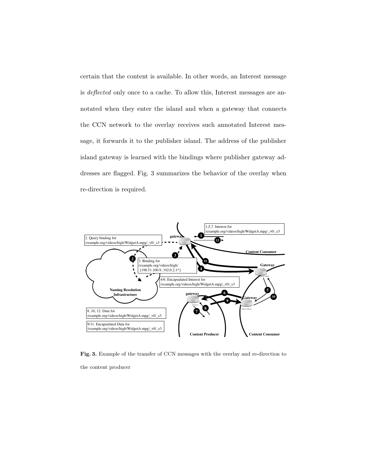certain that the content is available. In other words, an Interest message is deflected only once to a cache. To allow this, Interest messages are annotated when they enter the island and when a gateway that connects the CCN network to the overlay receives such annotated Interest message, it forwards it to the publisher island. The address of the publisher island gateway is learned with the bindings where publisher gateway addresses are flagged. Fig. 3 summarizes the behavior of the overlay when re-direction is required.



Fig. 3. Example of the transfer of CCN messages with the overlay and re-direction to the content producer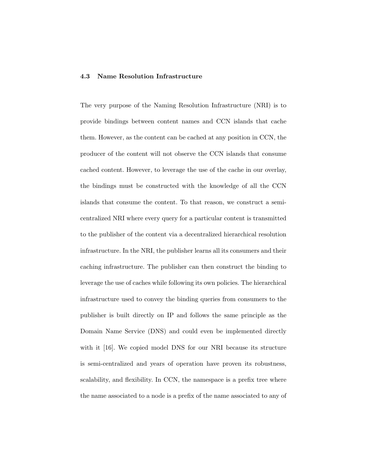#### 4.3 Name Resolution Infrastructure

The very purpose of the Naming Resolution Infrastructure (NRI) is to provide bindings between content names and CCN islands that cache them. However, as the content can be cached at any position in CCN, the producer of the content will not observe the CCN islands that consume cached content. However, to leverage the use of the cache in our overlay, the bindings must be constructed with the knowledge of all the CCN islands that consume the content. To that reason, we construct a semicentralized NRI where every query for a particular content is transmitted to the publisher of the content via a decentralized hierarchical resolution infrastructure. In the NRI, the publisher learns all its consumers and their caching infrastructure. The publisher can then construct the binding to leverage the use of caches while following its own policies. The hierarchical infrastructure used to convey the binding queries from consumers to the publisher is built directly on IP and follows the same principle as the Domain Name Service (DNS) and could even be implemented directly with it [16]. We copied model DNS for our NRI because its structure is semi-centralized and years of operation have proven its robustness, scalability, and flexibility. In CCN, the namespace is a prefix tree where the name associated to a node is a prefix of the name associated to any of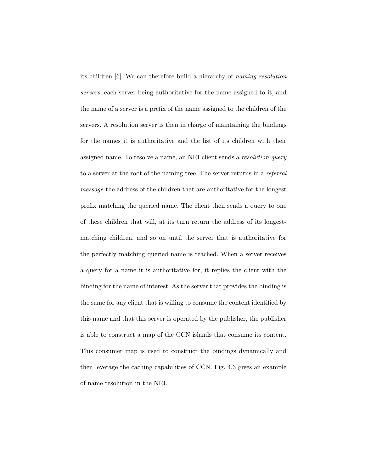its children [6]. We can therefore build a hierarchy of naming resolution servers, each server being authoritative for the name assigned to it, and the name of a server is a prefix of the name assigned to the children of the servers. A resolution server is then in charge of maintaining the bindings for the names it is authoritative and the list of its children with their assigned name. To resolve a name, an NRI client sends a resolution query to a server at the root of the naming tree. The server returns in a referral message the address of the children that are authoritative for the longest prefix matching the queried name. The client then sends a query to one of these children that will, at its turn return the address of its longestmatching children, and so on until the server that is authoritative for the perfectly matching queried name is reached. When a server receives a query for a name it is authoritative for, it replies the client with the binding for the name of interest. As the server that provides the binding is the same for any client that is willing to consume the content identified by this name and that this server is operated by the publisher, the publisher is able to construct a map of the CCN islands that consume its content. This consumer map is used to construct the bindings dynamically and then leverage the caching capabilities of CCN. Fig. 4.3 gives an example of name resolution in the NRI.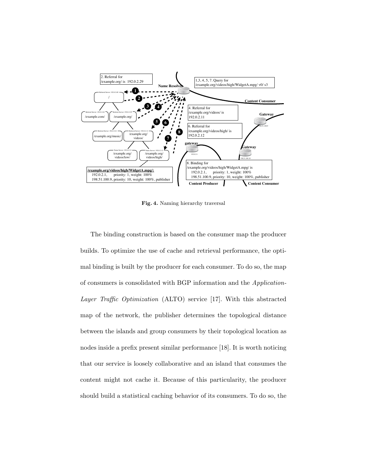

Fig. 4. Naming hierarchy traversal

The binding construction is based on the consumer map the producer builds. To optimize the use of cache and retrieval performance, the optimal binding is built by the producer for each consumer. To do so, the map of consumers is consolidated with BGP information and the Application-Layer Traffic Optimization (ALTO) service [17]. With this abstracted map of the network, the publisher determines the topological distance between the islands and group consumers by their topological location as nodes inside a prefix present similar performance [18]. It is worth noticing that our service is loosely collaborative and an island that consumes the content might not cache it. Because of this particularity, the producer should build a statistical caching behavior of its consumers. To do so, the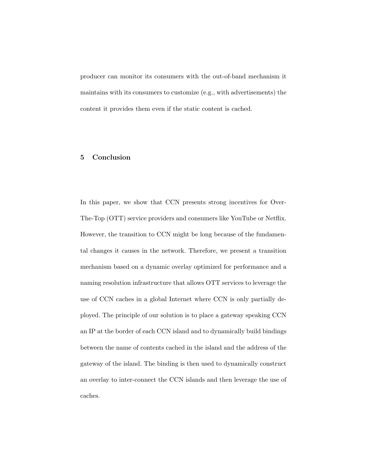producer can monitor its consumers with the out-of-band mechanism it maintains with its consumers to customize (e.g., with advertisements) the content it provides them even if the static content is cached.

#### 5 Conclusion

In this paper, we show that CCN presents strong incentives for Over-The-Top (OTT) service providers and consumers like YouTube or Netflix. However, the transition to CCN might be long because of the fundamental changes it causes in the network. Therefore, we present a transition mechanism based on a dynamic overlay optimized for performance and a naming resolution infrastructure that allows OTT services to leverage the use of CCN caches in a global Internet where CCN is only partially deployed. The principle of our solution is to place a gateway speaking CCN an IP at the border of each CCN island and to dynamically build bindings between the name of contents cached in the island and the address of the gateway of the island. The binding is then used to dynamically construct an overlay to inter-connect the CCN islands and then leverage the use of caches.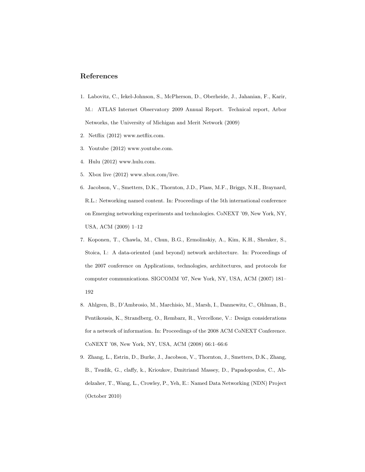#### References

- 1. Labovitz, C., Iekel-Johnson, S., McPherson, D., Oberheide, J., Jahanian, F., Karir, M.: ATLAS Internet Observatory 2009 Annual Report. Technical report, Arbor Networks, the University of Michigan and Merit Network (2009)
- 2. Netflix (2012) www.netflix.com.
- 3. Youtube (2012) www.youtube.com.
- 4. Hulu (2012) www.hulu.com.
- 5. Xbox live (2012) www.xbox.com/live.
- 6. Jacobson, V., Smetters, D.K., Thornton, J.D., Plass, M.F., Briggs, N.H., Braynard, R.L.: Networking named content. In: Proceedings of the 5th international conference on Emerging networking experiments and technologies. CoNEXT '09, New York, NY, USA, ACM (2009) 1–12
- 7. Koponen, T., Chawla, M., Chun, B.G., Ermolinskiy, A., Kim, K.H., Shenker, S., Stoica, I.: A data-oriented (and beyond) network architecture. In: Proceedings of the 2007 conference on Applications, technologies, architectures, and protocols for computer communications. SIGCOMM '07, New York, NY, USA, ACM (2007) 181– 192
- 8. Ahlgren, B., D'Ambrosio, M., Marchisio, M., Marsh, I., Dannewitz, C., Ohlman, B., Pentikousis, K., Strandberg, O., Rembarz, R., Vercellone, V.: Design considerations for a network of information. In: Proceedings of the 2008 ACM CoNEXT Conference. CoNEXT '08, New York, NY, USA, ACM (2008) 66:1–66:6
- 9. Zhang, L., Estrin, D., Burke, J., Jacobson, V., Thornton, J., Smetters, D.K., Zhang, B., Tsudik, G., claffy, k., Krioukov, Dmitriand Massey, D., Papadopoulos, C., Abdelzaher, T., Wang, L., Crowley, P., Yeh, E.: Named Data Networking (NDN) Project (October 2010)